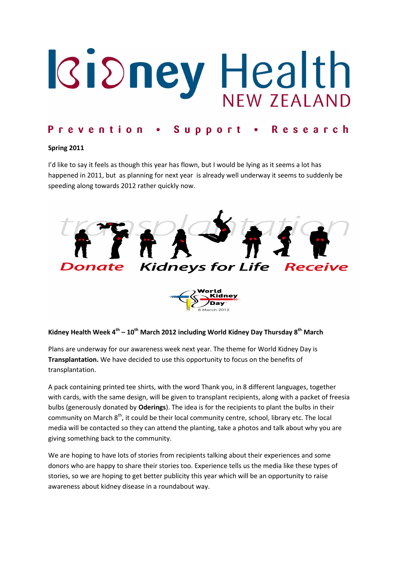## **Rioney Health** NFW 7FALAND

### Prevention • Support • Research

#### Spring 2011

I'd like to say it feels as though this year has flown, but I would be lying as it seems a lot has happened in 2011, but as planning for next year is already well underway it seems to suddenly be speeding along towards 2012 rather quickly now.



#### Kidney Health Week  $4^{th} - 10^{th}$  March 2012 including World Kidney Day Thursday  $8^{th}$  March

Plans are underway for our awareness week next year. The theme for World Kidney Day is Transplantation. We have decided to use this opportunity to focus on the benefits of transplantation.

A pack containing printed tee shirts, with the word Thank you, in 8 different languages, together with cards, with the same design, will be given to transplant recipients, along with a packet of freesia bulbs (generously donated by Oderings). The idea is for the recipients to plant the bulbs in their community on March 8<sup>th</sup>, it could be their local community centre, school, library etc. The local media will be contacted so they can attend the planting, take a photos and talk about why you are giving something back to the community.

We are hoping to have lots of stories from recipients talking about their experiences and some donors who are happy to share their stories too. Experience tells us the media like these types of stories, so we are hoping to get better publicity this year which will be an opportunity to raise awareness about kidney disease in a roundabout way.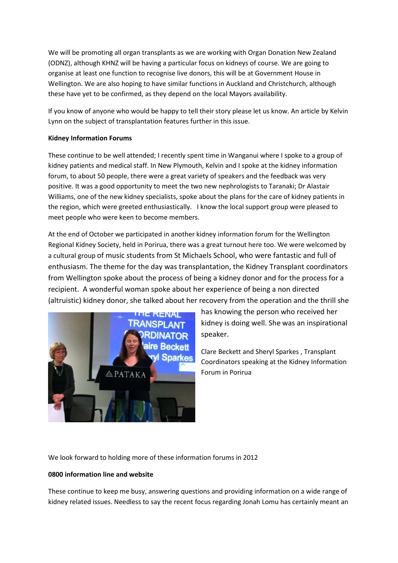We will be promoting all organ transplants as we are working with Organ Donation New Zealand (ODNZ), although KHNZ will be having a particular focus on kidneys of course. We are going to organise at least one function to recognise live donors, this will be at Government House in Wellington. We are also hoping to have similar functions in Auckland and Christchurch, although these have yet to be confirmed, as they depend on the local Mayors availability.

If you know of anyone who would be happy to tell their story please let us know. An article by Kelvin Lynn on the subject of transplantation features further in this issue.

#### Kidney Information Forums

These continue to be well attended; I recently spent time in Wanganui where I spoke to a group of kidney patients and medical staff. In New Plymouth, Kelvin and I spoke at the kidney information forum, to about 50 people, there were a great variety of speakers and the feedback was very positive. It was a good opportunity to meet the two new nephrologists to Taranaki; Dr Alastair Williams, one of the new kidney specialists, spoke about the plans for the care of kidney patients in the region, which were greeted enthusiastically. I know the local support group were pleased to meet people who were keen to become members.

At the end of October we participated in another kidney information forum for the Wellington Regional Kidney Society, held in Porirua, there was a great turnout here too. We were welcomed by a cultural group of music students from St Michaels School, who were fantastic and full of enthusiasm. The theme for the day was transplantation, the Kidney Transplant coordinators from Wellington spoke about the process of being a kidney donor and for the process for a recipient. A wonderful woman spoke about her experience of being a non directed (altruistic) kidney donor, she talked about her recovery from the operation and the thrill she



has knowing the person who received her kidney is doing well. She was an inspirational speaker.

Clare Beckett and Sheryl Sparkes , Transplant Coordinators speaking at the Kidney Information Forum in Porirua

We look forward to holding more of these information forums in 2012

#### 0800 information line and website

These continue to keep me busy, answering questions and providing information on a wide range of kidney related issues. Needless to say the recent focus regarding Jonah Lomu has certainly meant an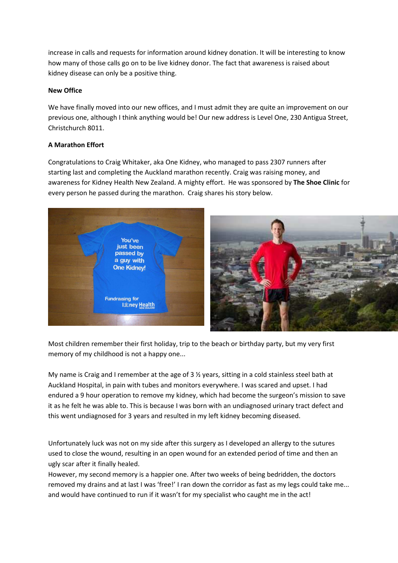increase in calls and requests for information around kidney donation. It will be interesting to know how many of those calls go on to be live kidney donor. The fact that awareness is raised about kidney disease can only be a positive thing.

#### New Office

We have finally moved into our new offices, and I must admit they are quite an improvement on our previous one, although I think anything would be! Our new address is Level One, 230 Antigua Street, Christchurch 8011.

#### A Marathon Effort

Congratulations to Craig Whitaker, aka One Kidney, who managed to pass 2307 runners after starting last and completing the Auckland marathon recently. Craig was raising money, and awareness for Kidney Health New Zealand. A mighty effort. He was sponsored by The Shoe Clinic for every person he passed during the marathon. Craig shares his story below.



Most children remember their first holiday, trip to the beach or birthday party, but my very first memory of my childhood is not a happy one...

My name is Craig and I remember at the age of 3 ½ years, sitting in a cold stainless steel bath at Auckland Hospital, in pain with tubes and monitors everywhere. I was scared and upset. I had endured a 9 hour operation to remove my kidney, which had become the surgeon's mission to save it as he felt he was able to. This is because I was born with an undiagnosed urinary tract defect and this went undiagnosed for 3 years and resulted in my left kidney becoming diseased.

Unfortunately luck was not on my side after this surgery as I developed an allergy to the sutures used to close the wound, resulting in an open wound for an extended period of time and then an ugly scar after it finally healed.

However, my second memory is a happier one. After two weeks of being bedridden, the doctors removed my drains and at last I was 'free!' I ran down the corridor as fast as my legs could take me... and would have continued to run if it wasn't for my specialist who caught me in the act!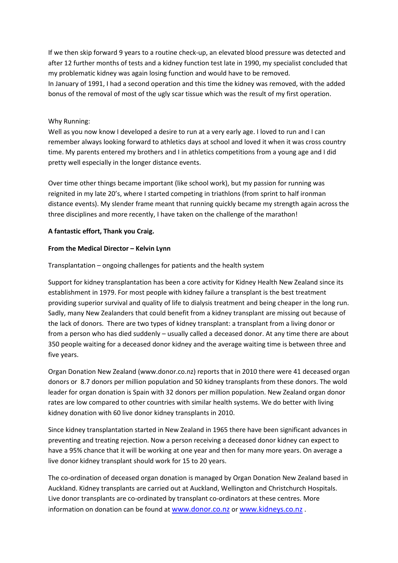If we then skip forward 9 years to a routine check-up, an elevated blood pressure was detected and after 12 further months of tests and a kidney function test late in 1990, my specialist concluded that my problematic kidney was again losing function and would have to be removed. In January of 1991, I had a second operation and this time the kidney was removed, with the added bonus of the removal of most of the ugly scar tissue which was the result of my first operation.

#### Why Running:

Well as you now know I developed a desire to run at a very early age. I loved to run and I can remember always looking forward to athletics days at school and loved it when it was cross country time. My parents entered my brothers and I in athletics competitions from a young age and I did pretty well especially in the longer distance events.

Over time other things became important (like school work), but my passion for running was reignited in my late 20's, where I started competing in triathlons (from sprint to half ironman distance events). My slender frame meant that running quickly became my strength again across the three disciplines and more recently, I have taken on the challenge of the marathon!

#### A fantastic effort, Thank you Craig.

#### From the Medical Director – Kelvin Lynn

#### Transplantation – ongoing challenges for patients and the health system

Support for kidney transplantation has been a core activity for Kidney Health New Zealand since its establishment in 1979. For most people with kidney failure a transplant is the best treatment providing superior survival and quality of life to dialysis treatment and being cheaper in the long run. Sadly, many New Zealanders that could benefit from a kidney transplant are missing out because of the lack of donors. There are two types of kidney transplant: a transplant from a living donor or from a person who has died suddenly – usually called a deceased donor. At any time there are about 350 people waiting for a deceased donor kidney and the average waiting time is between three and five years.

Organ Donation New Zealand (www.donor.co.nz) reports that in 2010 there were 41 deceased organ donors or 8.7 donors per million population and 50 kidney transplants from these donors. The wold leader for organ donation is Spain with 32 donors per million population. New Zealand organ donor rates are low compared to other countries with similar health systems. We do better with living kidney donation with 60 live donor kidney transplants in 2010.

Since kidney transplantation started in New Zealand in 1965 there have been significant advances in preventing and treating rejection. Now a person receiving a deceased donor kidney can expect to have a 95% chance that it will be working at one year and then for many more years. On average a live donor kidney transplant should work for 15 to 20 years.

The co-ordination of deceased organ donation is managed by Organ Donation New Zealand based in Auckland. Kidney transplants are carried out at Auckland, Wellington and Christchurch Hospitals. Live donor transplants are co-ordinated by transplant co-ordinators at these centres. More information on donation can be found at www.donor.co.nz or www.kidneys.co.nz.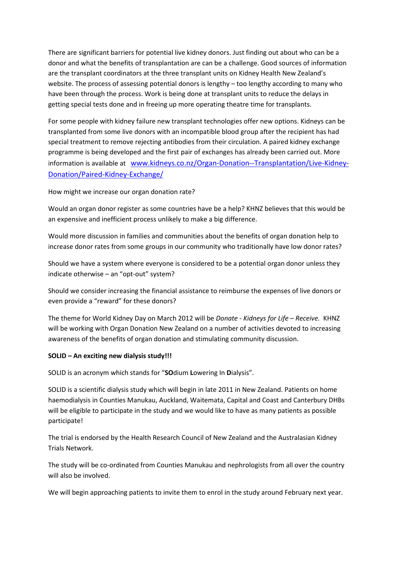There are significant barriers for potential live kidney donors. Just finding out about who can be a donor and what the benefits of transplantation are can be a challenge. Good sources of information are the transplant coordinators at the three transplant units on Kidney Health New Zealand's website. The process of assessing potential donors is lengthy – too lengthy according to many who have been through the process. Work is being done at transplant units to reduce the delays in getting special tests done and in freeing up more operating theatre time for transplants.

For some people with kidney failure new transplant technologies offer new options. Kidneys can be transplanted from some live donors with an incompatible blood group after the recipient has had special treatment to remove rejecting antibodies from their circulation. A paired kidney exchange programme is being developed and the first pair of exchanges has already been carried out. More information is available at www.kidneys.co.nz/Organ-Donation--Transplantation/Live-Kidney-Donation/Paired-Kidney-Exchange/

How might we increase our organ donation rate?

Would an organ donor register as some countries have be a help? KHNZ believes that this would be an expensive and inefficient process unlikely to make a big difference.

Would more discussion in families and communities about the benefits of organ donation help to increase donor rates from some groups in our community who traditionally have low donor rates?

Should we have a system where everyone is considered to be a potential organ donor unless they indicate otherwise – an "opt-out" system?

Should we consider increasing the financial assistance to reimburse the expenses of live donors or even provide a "reward" for these donors?

The theme for World Kidney Day on March 2012 will be Donate - Kidneys for Life – Receive. KHNZ will be working with Organ Donation New Zealand on a number of activities devoted to increasing awareness of the benefits of organ donation and stimulating community discussion.

#### SOLID – An exciting new dialysis study!!!

SOLID is an acronym which stands for "SOdium Lowering In Dialysis".

SOLID is a scientific dialysis study which will begin in late 2011 in New Zealand. Patients on home haemodialysis in Counties Manukau, Auckland, Waitemata, Capital and Coast and Canterbury DHBs will be eligible to participate in the study and we would like to have as many patients as possible participate!

The trial is endorsed by the Health Research Council of New Zealand and the Australasian Kidney Trials Network.

The study will be co-ordinated from Counties Manukau and nephrologists from all over the country will also be involved.

We will begin approaching patients to invite them to enrol in the study around February next year.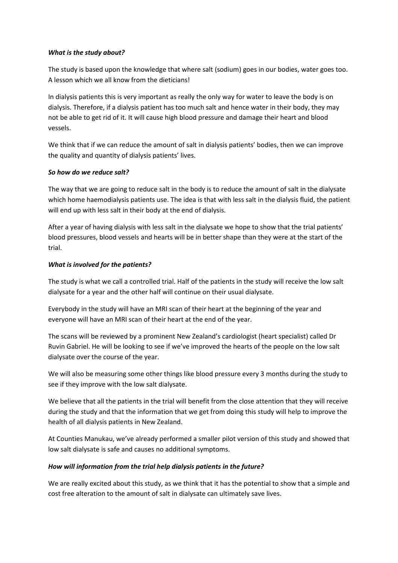#### What is the study about?

The study is based upon the knowledge that where salt (sodium) goes in our bodies, water goes too. A lesson which we all know from the dieticians!

In dialysis patients this is very important as really the only way for water to leave the body is on dialysis. Therefore, if a dialysis patient has too much salt and hence water in their body, they may not be able to get rid of it. It will cause high blood pressure and damage their heart and blood vessels.

We think that if we can reduce the amount of salt in dialysis patients' bodies, then we can improve the quality and quantity of dialysis patients' lives.

#### So how do we reduce salt?

The way that we are going to reduce salt in the body is to reduce the amount of salt in the dialysate which home haemodialysis patients use. The idea is that with less salt in the dialysis fluid, the patient will end up with less salt in their body at the end of dialysis.

After a year of having dialysis with less salt in the dialysate we hope to show that the trial patients' blood pressures, blood vessels and hearts will be in better shape than they were at the start of the trial.

#### What is involved for the patients?

The study is what we call a controlled trial. Half of the patients in the study will receive the low salt dialysate for a year and the other half will continue on their usual dialysate.

Everybody in the study will have an MRI scan of their heart at the beginning of the year and everyone will have an MRI scan of their heart at the end of the year.

The scans will be reviewed by a prominent New Zealand's cardiologist (heart specialist) called Dr Ruvin Gabriel. He will be looking to see if we've improved the hearts of the people on the low salt dialysate over the course of the year.

We will also be measuring some other things like blood pressure every 3 months during the study to see if they improve with the low salt dialysate.

We believe that all the patients in the trial will benefit from the close attention that they will receive during the study and that the information that we get from doing this study will help to improve the health of all dialysis patients in New Zealand.

At Counties Manukau, we've already performed a smaller pilot version of this study and showed that low salt dialysate is safe and causes no additional symptoms.

#### How will information from the trial help dialysis patients in the future?

We are really excited about this study, as we think that it has the potential to show that a simple and cost free alteration to the amount of salt in dialysate can ultimately save lives.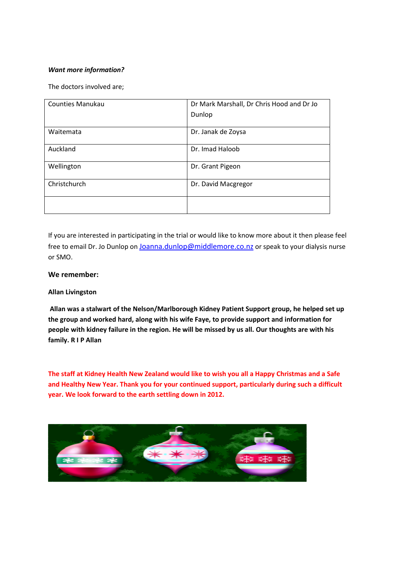#### Want more information?

The doctors involved are;

| <b>Counties Manukau</b> | Dr Mark Marshall, Dr Chris Hood and Dr Jo |
|-------------------------|-------------------------------------------|
|                         | Dunlop                                    |
|                         |                                           |
| Waitemata               | Dr. Janak de Zoysa                        |
|                         |                                           |
| Auckland                | Dr. Imad Haloob                           |
|                         |                                           |
| Wellington              | Dr. Grant Pigeon                          |
|                         |                                           |
| Christchurch            | Dr. David Macgregor                       |
|                         |                                           |
|                         |                                           |
|                         |                                           |

If you are interested in participating in the trial or would like to know more about it then please feel free to email Dr. Jo Dunlop on Joanna.dunlop@middlemore.co.nz or speak to your dialysis nurse or SMO.

#### We remember:

#### Allan Livingston

 Allan was a stalwart of the Nelson/Marlborough Kidney Patient Support group, he helped set up the group and worked hard, along with his wife Faye, to provide support and information for people with kidney failure in the region. He will be missed by us all. Our thoughts are with his family. R I P Allan

The staff at Kidney Health New Zealand would like to wish you all a Happy Christmas and a Safe and Healthy New Year. Thank you for your continued support, particularly during such a difficult year. We look forward to the earth settling down in 2012.